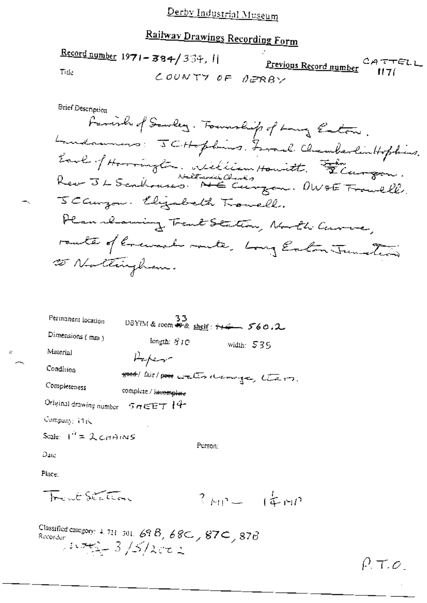# Railway Drawings Recording Form

 $\frac{\text{Record number}}{1971 - 384}$  334, 11 <u>Previous Record number</u>  $CATTELL$ Title COUNTY OF DERBY

| Permanent location                 |                                          | 33 | DBYIM & room # & shelf: ++4 560.2 |  |
|------------------------------------|------------------------------------------|----|-----------------------------------|--|
| Dimensions (mm)                    | length: SIO                              |    | width: $535$                      |  |
| Material                           | سهينكم ييلز                              |    |                                   |  |
| Condition                          | good/ fair/ poor water dramings, the or, |    |                                   |  |
| Completeness                       | complete / incomplete                    |    |                                   |  |
| Original drawing number 5 nEET 14- |                                          |    |                                   |  |
| Company: 11K                       |                                          |    |                                   |  |
| Scale: $T^2 = \lambda$ critaining  |                                          |    |                                   |  |
| Эщ                                 | Person:                                  |    |                                   |  |
|                                    |                                          |    |                                   |  |

Place:

Tract Station  $3m - 14m$ 

Classified category: 4, 721, 301, 69.8, 68C, 87C, 87B<br>Recorder:  $\frac{1}{2} \sqrt{5/2\pi}$ 

 $\hat{B}^{\rm S}_\ell$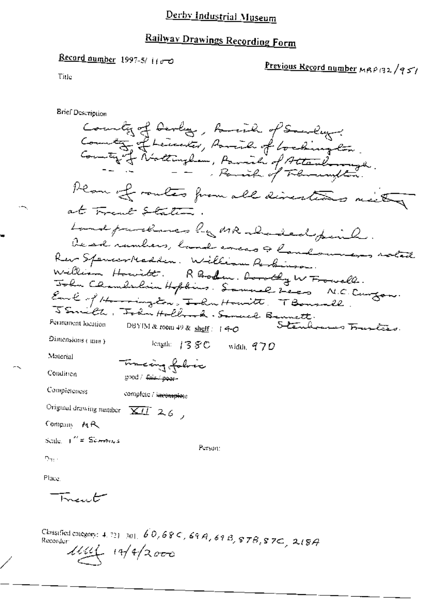#### Derby Industrial Museum

### Railway Drawings Recording Form

Record number 1997-5/1100

Previous Record number MRP132/951

Title

**Brief Description** Country of Devloy, Raine of Sanday. County of Leucker, Parish of Cochington. Plan of routes from all directions neity at Frank Station. Landparences by MR abaded paint. De ed rambers, band encas & landoumers solat Ker spencerreamon. : 1996. Porody W From ll.<br>William Howitt. RBooken. Dorody W From ll.<br>Folm Chambidsin Hopbins. Samuel Leon N.C. Curgon.<br>Samuel C. Folm Holland. Samuel Bennett.<br>TSamuel L. Folm Holland. Samuel Bennett.<br>Per Dimensions ( mm ) league 1380 width,  $970$ viaterial Tracing folia Condition good / fair / pear-Completeness complete / incomplete Original drawing number  $\overline{XII}^2$  2.6, Company MR Scale, I<sup>nt</sup> = Sci<del>mm</del>ics Person:  $\mathcal{D}_{\mathrm{H}1}$  .

Place,

سيمدر يبهآ

Classified category: 4, 721-301, 60,68C, 69A, 69B, 87B, 87C, 2(8A Recorder  $11/11$   $14/2000$